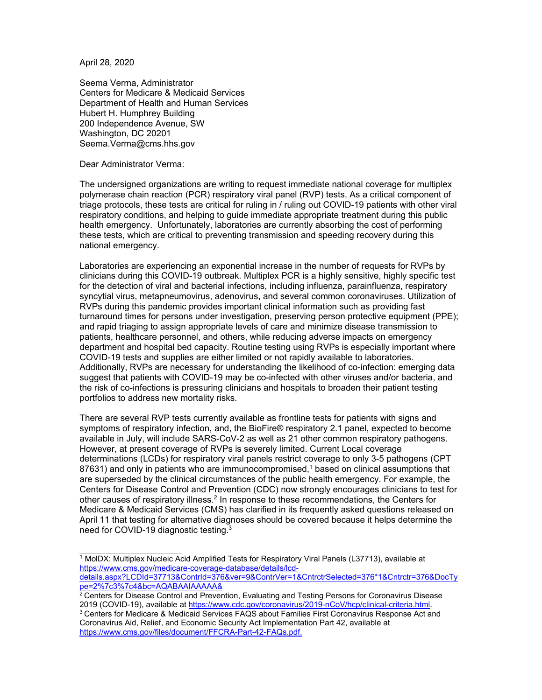April 28, 2020

Seema Verma, Administrator Centers for Medicare & Medicaid Services Department of Health and Human Services Hubert H. Humphrey Building 200 Independence Avenue, SW Washington, DC 20201 Seema.Verma@cms.hhs.gov

Dear Administrator Verma:

The undersigned organizations are writing to request immediate national coverage for multiplex polymerase chain reaction (PCR) respiratory viral panel (RVP) tests. As a critical component of triage protocols, these tests are critical for ruling in / ruling out COVID-19 patients with other viral respiratory conditions, and helping to guide immediate appropriate treatment during this public health emergency. Unfortunately, laboratories are currently absorbing the cost of performing these tests, which are critical to preventing transmission and speeding recovery during this national emergency.

Laboratories are experiencing an exponential increase in the number of requests for RVPs by clinicians during this COVID-19 outbreak. Multiplex PCR is a highly sensitive, highly specific test for the detection of viral and bacterial infections, including influenza, parainfluenza, respiratory syncytial virus, metapneumovirus, adenovirus, and several common coronaviruses. Utilization of RVPs during this pandemic provides important clinical information such as providing fast turnaround times for persons under investigation, preserving person protective equipment (PPE); and rapid triaging to assign appropriate levels of care and minimize disease transmission to patients, healthcare personnel, and others, while reducing adverse impacts on emergency department and hospital bed capacity. Routine testing using RVPs is especially important where COVID-19 tests and supplies are either limited or not rapidly available to laboratories. Additionally, RVPs are necessary for understanding the likelihood of co-infection: emerging data suggest that patients with COVID-19 may be co-infected with other viruses and/or bacteria, and the risk of co-infections is pressuring clinicians and hospitals to broaden their patient testing portfolios to address new mortality risks.

There are several RVP tests currently available as frontline tests for patients with signs and symptoms of respiratory infection, and, the BioFire® respiratory 2.1 panel, expected to become available in July, will include SARS-CoV-2 as well as 21 other common respiratory pathogens. However, at present coverage of RVPs is severely limited. Current Local coverage determinations (LCDs) for respiratory viral panels restrict coverage to only 3-5 pathogens (CPT  $87631$ ) and only in patients who are immunocompromised,<sup>1</sup> based on clinical assumptions that are superseded by the clinical circumstances of the public health emergency. For example, the Centers for Disease Control and Prevention (CDC) now strongly encourages clinicians to test for other causes of respiratory illness.2 In response to these recommendations, the Centers for Medicare & Medicaid Services (CMS) has clarified in its frequently asked questions released on April 11 that testing for alternative diagnoses should be covered because it helps determine the need for COVID-19 diagnostic testing.3

1 MolDX: Multiplex Nucleic Acid Amplified Tests for Respiratory Viral Panels (L37713), available at https://www.cms.gov/medicare-coverage-database/details/lcd-

details.aspx?LCDId=37713&ContrId=376&ver=9&ContrVer=1&CntrctrSelected=376\*1&Cntrctr=376&DocTy pe=2%7c3%7c4&bc=AQABAAIAAAAA&

 $2$  Centers for Disease Control and Prevention, Evaluating and Testing Persons for Coronavirus Disease

<sup>2019 (</sup>COVID-19), available at <u>https://www.cdc.gov/coronavirus/2019-nCoV/hcp/clinical-criteria.html</u>.<br><sup>3</sup> Centers for Medicare & Medicaid Services FAQS about Families First Coronavirus Response Act and Coronavirus Aid, Relief, and Economic Security Act Implementation Part 42, available at https://www.cms.gov/files/document/FFCRA-Part-42-FAQs.pdf.